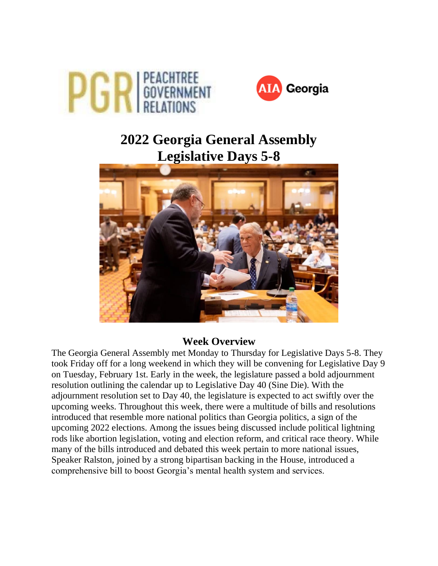



# **2022 Georgia General Assembly Legislative Days 5-8**



### **Week Overview**

The Georgia General Assembly met Monday to Thursday for Legislative Days 5-8. They took Friday off for a long weekend in which they will be convening for Legislative Day 9 on Tuesday, February 1st. Early in the week, the legislature passed a bold adjournment resolution outlining the calendar up to Legislative Day 40 (Sine Die). With the adjournment resolution set to Day 40, the legislature is expected to act swiftly over the upcoming weeks. Throughout this week, there were a multitude of bills and resolutions introduced that resemble more national politics than Georgia politics, a sign of the upcoming 2022 elections. Among the issues being discussed include political lightning rods like abortion legislation, voting and election reform, and critical race theory. While many of the bills introduced and debated this week pertain to more national issues, Speaker Ralston, joined by a strong bipartisan backing in the House, introduced a comprehensive bill to boost Georgia's mental health system and services.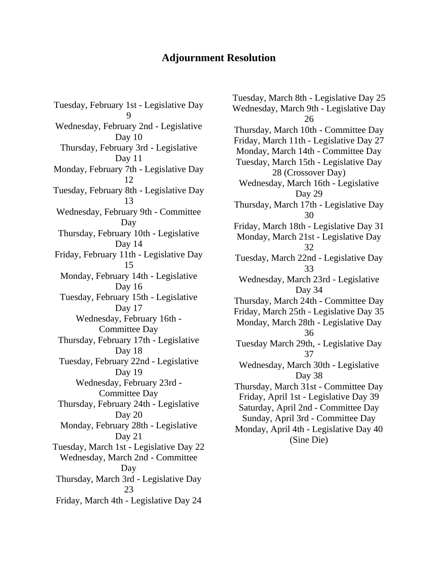## **Adjournment Resolution**

Tuesday, February 1st - Legislative Day 9 Wednesday, February 2nd - Legislative Day 10 Thursday, February 3rd - Legislative Day 11 Monday, February 7th - Legislative Day 12 Tuesday, February 8th - Legislative Day 13 Wednesday, February 9th - Committee Day Thursday, February 10th - Legislative Day 14 Friday, February 11th - Legislative Day 15 Monday, February 14th - Legislative Day 16 Tuesday, February 15th - Legislative Day 17 Wednesday, February 16th - Committee Day Thursday, February 17th - Legislative Day 18 Tuesday, February 22nd - Legislative Day 19 Wednesday, February 23rd - Committee Day Thursday, February 24th - Legislative Day 20 Monday, February 28th - Legislative Day 21 Tuesday, March 1st - Legislative Day 22 Wednesday, March 2nd - Committee Day Thursday, March 3rd - Legislative Day 23 Friday, March 4th - Legislative Day 24

Tuesday, March 8th - Legislative Day 25 Wednesday, March 9th - Legislative Day 26 Thursday, March 10th - Committee Day Friday, March 11th - Legislative Day 27 Monday, March 14th - Committee Day Tuesday, March 15th - Legislative Day 28 (Crossover Day) Wednesday, March 16th - Legislative Day 29 Thursday, March 17th - Legislative Day 30 Friday, March 18th - Legislative Day 31 Monday, March 21st - Legislative Day 32 Tuesday, March 22nd - Legislative Day 33 Wednesday, March 23rd - Legislative Day 34 Thursday, March 24th - Committee Day Friday, March 25th - Legislative Day 35 Monday, March 28th - Legislative Day 36 Tuesday March 29th, - Legislative Day 37 Wednesday, March 30th - Legislative Day 38 Thursday, March 31st - Committee Day Friday, April 1st - Legislative Day 39 Saturday, April 2nd - Committee Day Sunday, April 3rd - Committee Day Monday, April 4th - Legislative Day 40 (Sine Die)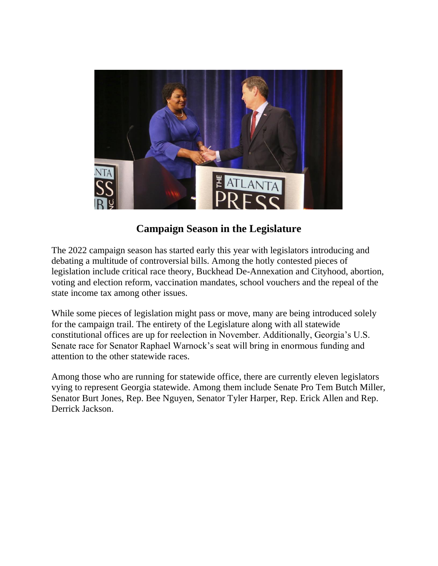

## **Campaign Season in the Legislature**

The 2022 campaign season has started early this year with legislators introducing and debating a multitude of controversial bills. Among the hotly contested pieces of legislation include critical race theory, Buckhead De-Annexation and Cityhood, abortion, voting and election reform, vaccination mandates, school vouchers and the repeal of the state income tax among other issues.

While some pieces of legislation might pass or move, many are being introduced solely for the campaign trail. The entirety of the Legislature along with all statewide constitutional offices are up for reelection in November. Additionally, Georgia's U.S. Senate race for Senator Raphael Warnock's seat will bring in enormous funding and attention to the other statewide races.

Among those who are running for statewide office, there are currently eleven legislators vying to represent Georgia statewide. Among them include Senate Pro Tem Butch Miller, Senator Burt Jones, Rep. Bee Nguyen, Senator Tyler Harper, Rep. Erick Allen and Rep. Derrick Jackson.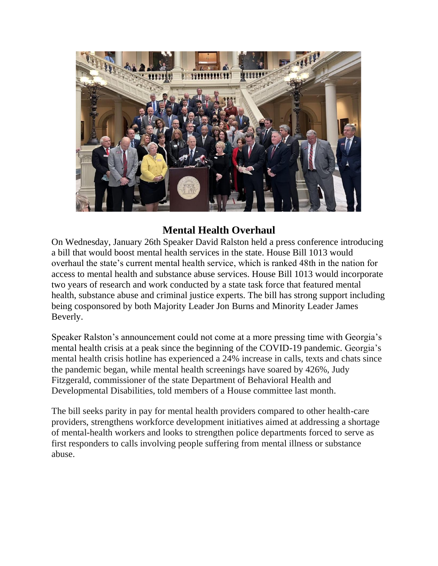

## **Mental Health Overhaul**

On Wednesday, January 26th Speaker David Ralston held a press conference introducing a bill that would boost mental health services in the state. House Bill 1013 would overhaul the state's current mental health service, which is ranked 48th in the nation for access to mental health and substance abuse services. House Bill 1013 would incorporate two years of research and work conducted by a state task force that featured mental health, substance abuse and criminal justice experts. The bill has strong support including being cosponsored by both Majority Leader Jon Burns and Minority Leader James Beverly.

Speaker Ralston's announcement could not come at a more pressing time with Georgia's mental health crisis at a peak since the beginning of the COVID-19 pandemic. Georgia's mental health crisis hotline has experienced a 24% increase in calls, texts and chats since the pandemic began, while mental health screenings have soared by 426%, Judy Fitzgerald, commissioner of the state Department of Behavioral Health and Developmental Disabilities, told members of a House committee last month.

The bill seeks parity in pay for mental health providers compared to other health-care providers, strengthens workforce development initiatives aimed at addressing a shortage of mental-health workers and looks to strengthen police departments forced to serve as first responders to calls involving people suffering from mental illness or substance abuse.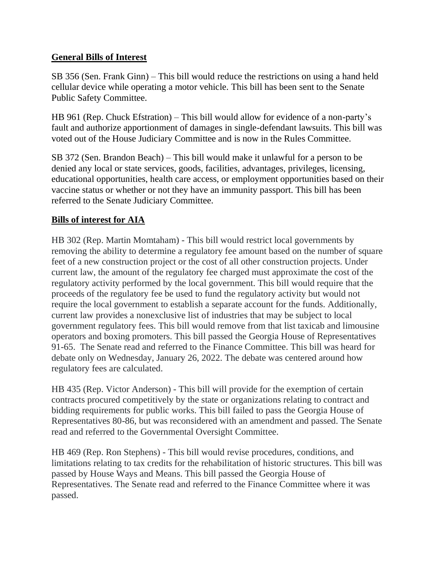#### **General Bills of Interest**

SB 356 (Sen. Frank Ginn) – This bill would reduce the restrictions on using a hand held cellular device while operating a motor vehicle. This bill has been sent to the Senate Public Safety Committee.

HB 961 (Rep. Chuck Efstration) – This bill would allow for evidence of a non-party's fault and authorize apportionment of damages in single-defendant lawsuits. This bill was voted out of the House Judiciary Committee and is now in the Rules Committee.

SB 372 (Sen. Brandon Beach) – This bill would make it unlawful for a person to be denied any local or state services, goods, facilities, advantages, privileges, licensing, educational opportunities, health care access, or employment opportunities based on their vaccine status or whether or not they have an immunity passport. This bill has been referred to the Senate Judiciary Committee.

### **Bills of interest for AIA**

HB 302 (Rep. Martin Momtaham) - This bill would restrict local governments by removing the ability to determine a regulatory fee amount based on the number of square feet of a new construction project or the cost of all other construction projects. Under current law, the amount of the regulatory fee charged must approximate the cost of the regulatory activity performed by the local government. This bill would require that the proceeds of the regulatory fee be used to fund the regulatory activity but would not require the local government to establish a separate account for the funds. Additionally, current law provides a nonexclusive list of industries that may be subject to local government regulatory fees. This bill would remove from that list taxicab and limousine operators and boxing promoters. This bill passed the Georgia House of Representatives 91-65. The Senate read and referred to the Finance Committee. This bill was heard for debate only on Wednesday, January 26, 2022. The debate was centered around how regulatory fees are calculated.

HB 435 (Rep. Victor Anderson) - This bill will provide for the exemption of certain contracts procured competitively by the state or organizations relating to contract and bidding requirements for public works. This bill failed to pass the Georgia House of Representatives 80-86, but was reconsidered with an amendment and passed. The Senate read and referred to the Governmental Oversight Committee.

HB 469 (Rep. Ron Stephens) - This bill would revise procedures, conditions, and limitations relating to tax credits for the rehabilitation of historic structures. This bill was passed by House Ways and Means. This bill passed the Georgia House of Representatives. The Senate read and referred to the Finance Committee where it was passed.